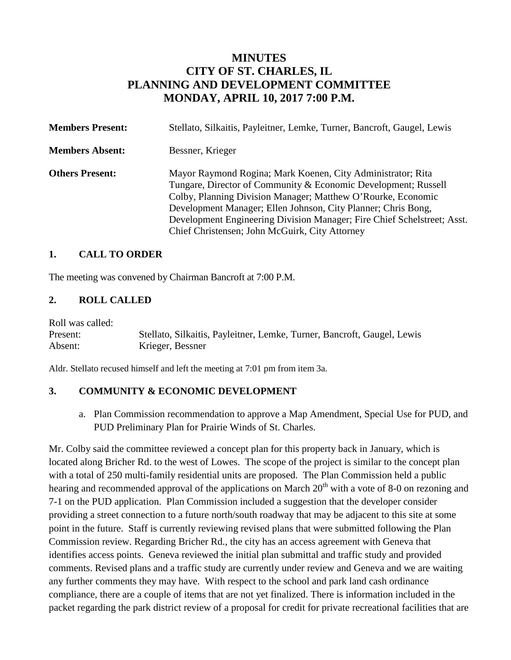# **MINUTES CITY OF ST. CHARLES, IL PLANNING AND DEVELOPMENT COMMITTEE MONDAY, APRIL 10, 2017 7:00 P.M.**

| <b>Members Present:</b> | Stellato, Silkaitis, Payleitner, Lemke, Turner, Bancroft, Gaugel, Lewis                                                                                                                                                                                                                                                                                                                     |
|-------------------------|---------------------------------------------------------------------------------------------------------------------------------------------------------------------------------------------------------------------------------------------------------------------------------------------------------------------------------------------------------------------------------------------|
| <b>Members Absent:</b>  | Bessner, Krieger                                                                                                                                                                                                                                                                                                                                                                            |
| <b>Others Present:</b>  | Mayor Raymond Rogina; Mark Koenen, City Administrator; Rita<br>Tungare, Director of Community & Economic Development; Russell<br>Colby, Planning Division Manager; Matthew O'Rourke, Economic<br>Development Manager; Ellen Johnson, City Planner; Chris Bong,<br>Development Engineering Division Manager; Fire Chief Schelstreet; Asst.<br>Chief Christensen; John McGuirk, City Attorney |

## **1. CALL TO ORDER**

The meeting was convened by Chairman Bancroft at 7:00 P.M.

#### **2. ROLL CALLED**

Roll was called:

Present: Stellato, Silkaitis, Payleitner, Lemke, Turner, Bancroft, Gaugel, Lewis Absent: Krieger, Bessner

Aldr. Stellato recused himself and left the meeting at 7:01 pm from item 3a.

#### **3. COMMUNITY & ECONOMIC DEVELOPMENT**

a. Plan Commission recommendation to approve a Map Amendment, Special Use for PUD, and PUD Preliminary Plan for Prairie Winds of St. Charles.

Mr. Colby said the committee reviewed a concept plan for this property back in January, which is located along Bricher Rd. to the west of Lowes. The scope of the project is similar to the concept plan with a total of 250 multi-family residential units are proposed. The Plan Commission held a public hearing and recommended approval of the applications on March  $20<sup>th</sup>$  with a vote of 8-0 on rezoning and 7-1 on the PUD application. Plan Commission included a suggestion that the developer consider providing a street connection to a future north/south roadway that may be adjacent to this site at some point in the future. Staff is currently reviewing revised plans that were submitted following the Plan Commission review. Regarding Bricher Rd., the city has an access agreement with Geneva that identifies access points. Geneva reviewed the initial plan submittal and traffic study and provided comments. Revised plans and a traffic study are currently under review and Geneva and we are waiting any further comments they may have. With respect to the school and park land cash ordinance compliance, there are a couple of items that are not yet finalized. There is information included in the packet regarding the park district review of a proposal for credit for private recreational facilities that are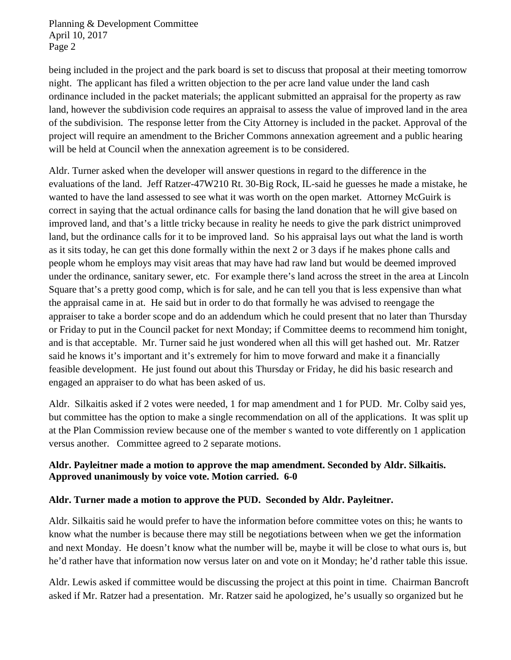being included in the project and the park board is set to discuss that proposal at their meeting tomorrow night. The applicant has filed a written objection to the per acre land value under the land cash ordinance included in the packet materials; the applicant submitted an appraisal for the property as raw land, however the subdivision code requires an appraisal to assess the value of improved land in the area of the subdivision. The response letter from the City Attorney is included in the packet. Approval of the project will require an amendment to the Bricher Commons annexation agreement and a public hearing will be held at Council when the annexation agreement is to be considered.

Aldr. Turner asked when the developer will answer questions in regard to the difference in the evaluations of the land. Jeff Ratzer-47W210 Rt. 30-Big Rock, IL-said he guesses he made a mistake, he wanted to have the land assessed to see what it was worth on the open market. Attorney McGuirk is correct in saying that the actual ordinance calls for basing the land donation that he will give based on improved land, and that's a little tricky because in reality he needs to give the park district unimproved land, but the ordinance calls for it to be improved land. So his appraisal lays out what the land is worth as it sits today, he can get this done formally within the next 2 or 3 days if he makes phone calls and people whom he employs may visit areas that may have had raw land but would be deemed improved under the ordinance, sanitary sewer, etc. For example there's land across the street in the area at Lincoln Square that's a pretty good comp, which is for sale, and he can tell you that is less expensive than what the appraisal came in at. He said but in order to do that formally he was advised to reengage the appraiser to take a border scope and do an addendum which he could present that no later than Thursday or Friday to put in the Council packet for next Monday; if Committee deems to recommend him tonight, and is that acceptable. Mr. Turner said he just wondered when all this will get hashed out. Mr. Ratzer said he knows it's important and it's extremely for him to move forward and make it a financially feasible development. He just found out about this Thursday or Friday, he did his basic research and engaged an appraiser to do what has been asked of us.

Aldr. Silkaitis asked if 2 votes were needed, 1 for map amendment and 1 for PUD. Mr. Colby said yes, but committee has the option to make a single recommendation on all of the applications. It was split up at the Plan Commission review because one of the member s wanted to vote differently on 1 application versus another. Committee agreed to 2 separate motions.

## **Aldr. Payleitner made a motion to approve the map amendment. Seconded by Aldr. Silkaitis. Approved unanimously by voice vote. Motion carried. 6-0**

## **Aldr. Turner made a motion to approve the PUD. Seconded by Aldr. Payleitner.**

Aldr. Silkaitis said he would prefer to have the information before committee votes on this; he wants to know what the number is because there may still be negotiations between when we get the information and next Monday. He doesn't know what the number will be, maybe it will be close to what ours is, but he'd rather have that information now versus later on and vote on it Monday; he'd rather table this issue.

Aldr. Lewis asked if committee would be discussing the project at this point in time. Chairman Bancroft asked if Mr. Ratzer had a presentation. Mr. Ratzer said he apologized, he's usually so organized but he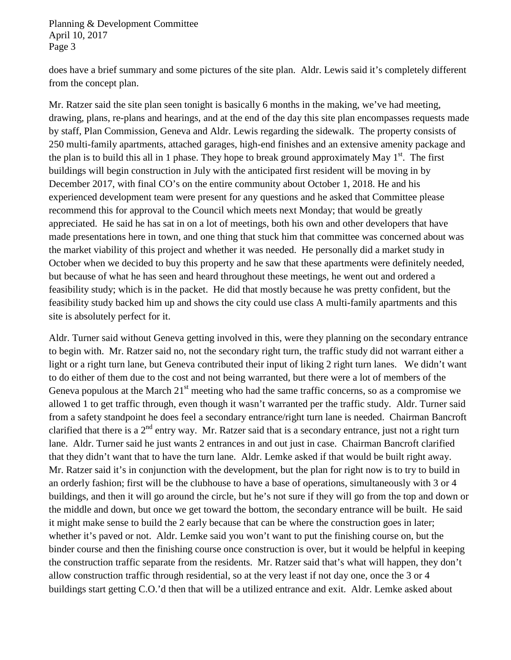does have a brief summary and some pictures of the site plan. Aldr. Lewis said it's completely different from the concept plan.

Mr. Ratzer said the site plan seen tonight is basically 6 months in the making, we've had meeting, drawing, plans, re-plans and hearings, and at the end of the day this site plan encompasses requests made by staff, Plan Commission, Geneva and Aldr. Lewis regarding the sidewalk. The property consists of 250 multi-family apartments, attached garages, high-end finishes and an extensive amenity package and the plan is to build this all in 1 phase. They hope to break ground approximately May  $1<sup>st</sup>$ . The first buildings will begin construction in July with the anticipated first resident will be moving in by December 2017, with final CO's on the entire community about October 1, 2018. He and his experienced development team were present for any questions and he asked that Committee please recommend this for approval to the Council which meets next Monday; that would be greatly appreciated. He said he has sat in on a lot of meetings, both his own and other developers that have made presentations here in town, and one thing that stuck him that committee was concerned about was the market viability of this project and whether it was needed. He personally did a market study in October when we decided to buy this property and he saw that these apartments were definitely needed, but because of what he has seen and heard throughout these meetings, he went out and ordered a feasibility study; which is in the packet. He did that mostly because he was pretty confident, but the feasibility study backed him up and shows the city could use class A multi-family apartments and this site is absolutely perfect for it.

Aldr. Turner said without Geneva getting involved in this, were they planning on the secondary entrance to begin with. Mr. Ratzer said no, not the secondary right turn, the traffic study did not warrant either a light or a right turn lane, but Geneva contributed their input of liking 2 right turn lanes. We didn't want to do either of them due to the cost and not being warranted, but there were a lot of members of the Geneva populous at the March  $21<sup>st</sup>$  meeting who had the same traffic concerns, so as a compromise we allowed 1 to get traffic through, even though it wasn't warranted per the traffic study. Aldr. Turner said from a safety standpoint he does feel a secondary entrance/right turn lane is needed. Chairman Bancroft clarified that there is a  $2<sup>nd</sup>$  entry way. Mr. Ratzer said that is a secondary entrance, just not a right turn lane. Aldr. Turner said he just wants 2 entrances in and out just in case. Chairman Bancroft clarified that they didn't want that to have the turn lane. Aldr. Lemke asked if that would be built right away. Mr. Ratzer said it's in conjunction with the development, but the plan for right now is to try to build in an orderly fashion; first will be the clubhouse to have a base of operations, simultaneously with 3 or 4 buildings, and then it will go around the circle, but he's not sure if they will go from the top and down or the middle and down, but once we get toward the bottom, the secondary entrance will be built. He said it might make sense to build the 2 early because that can be where the construction goes in later; whether it's paved or not. Aldr. Lemke said you won't want to put the finishing course on, but the binder course and then the finishing course once construction is over, but it would be helpful in keeping the construction traffic separate from the residents. Mr. Ratzer said that's what will happen, they don't allow construction traffic through residential, so at the very least if not day one, once the 3 or 4 buildings start getting C.O.'d then that will be a utilized entrance and exit. Aldr. Lemke asked about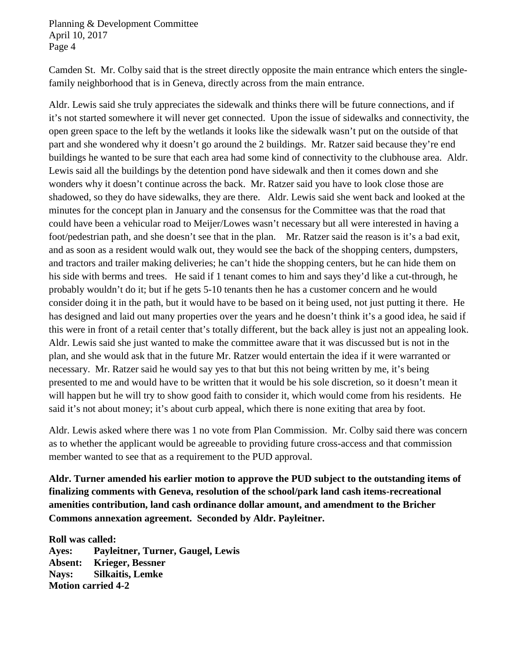Camden St. Mr. Colby said that is the street directly opposite the main entrance which enters the singlefamily neighborhood that is in Geneva, directly across from the main entrance.

Aldr. Lewis said she truly appreciates the sidewalk and thinks there will be future connections, and if it's not started somewhere it will never get connected. Upon the issue of sidewalks and connectivity, the open green space to the left by the wetlands it looks like the sidewalk wasn't put on the outside of that part and she wondered why it doesn't go around the 2 buildings. Mr. Ratzer said because they're end buildings he wanted to be sure that each area had some kind of connectivity to the clubhouse area. Aldr. Lewis said all the buildings by the detention pond have sidewalk and then it comes down and she wonders why it doesn't continue across the back. Mr. Ratzer said you have to look close those are shadowed, so they do have sidewalks, they are there. Aldr. Lewis said she went back and looked at the minutes for the concept plan in January and the consensus for the Committee was that the road that could have been a vehicular road to Meijer/Lowes wasn't necessary but all were interested in having a foot/pedestrian path, and she doesn't see that in the plan. Mr. Ratzer said the reason is it's a bad exit, and as soon as a resident would walk out, they would see the back of the shopping centers, dumpsters, and tractors and trailer making deliveries; he can't hide the shopping centers, but he can hide them on his side with berms and trees. He said if 1 tenant comes to him and says they'd like a cut-through, he probably wouldn't do it; but if he gets 5-10 tenants then he has a customer concern and he would consider doing it in the path, but it would have to be based on it being used, not just putting it there. He has designed and laid out many properties over the years and he doesn't think it's a good idea, he said if this were in front of a retail center that's totally different, but the back alley is just not an appealing look. Aldr. Lewis said she just wanted to make the committee aware that it was discussed but is not in the plan, and she would ask that in the future Mr. Ratzer would entertain the idea if it were warranted or necessary. Mr. Ratzer said he would say yes to that but this not being written by me, it's being presented to me and would have to be written that it would be his sole discretion, so it doesn't mean it will happen but he will try to show good faith to consider it, which would come from his residents. He said it's not about money; it's about curb appeal, which there is none exiting that area by foot.

Aldr. Lewis asked where there was 1 no vote from Plan Commission. Mr. Colby said there was concern as to whether the applicant would be agreeable to providing future cross-access and that commission member wanted to see that as a requirement to the PUD approval.

**Aldr. Turner amended his earlier motion to approve the PUD subject to the outstanding items of finalizing comments with Geneva, resolution of the school/park land cash items-recreational amenities contribution, land cash ordinance dollar amount, and amendment to the Bricher Commons annexation agreement. Seconded by Aldr. Payleitner.**

**Roll was called: Ayes: Payleitner, Turner, Gaugel, Lewis Absent: Krieger, Bessner Nays: Silkaitis, Lemke Motion carried 4-2**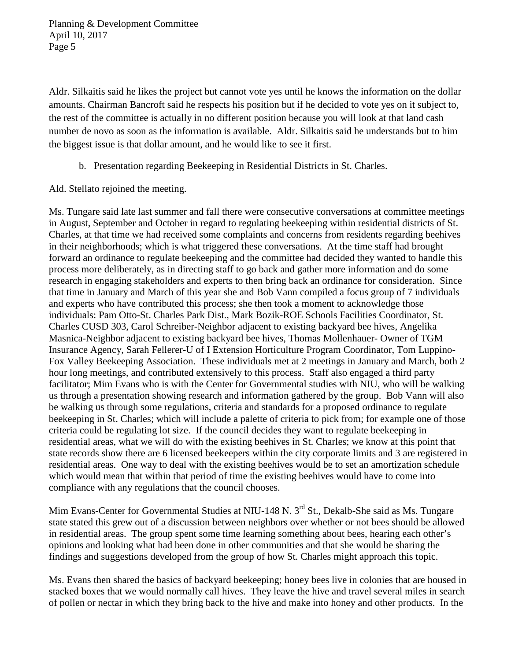Aldr. Silkaitis said he likes the project but cannot vote yes until he knows the information on the dollar amounts. Chairman Bancroft said he respects his position but if he decided to vote yes on it subject to, the rest of the committee is actually in no different position because you will look at that land cash number de novo as soon as the information is available. Aldr. Silkaitis said he understands but to him the biggest issue is that dollar amount, and he would like to see it first.

b. Presentation regarding Beekeeping in Residential Districts in St. Charles.

Ald. Stellato rejoined the meeting.

Ms. Tungare said late last summer and fall there were consecutive conversations at committee meetings in August, September and October in regard to regulating beekeeping within residential districts of St. Charles, at that time we had received some complaints and concerns from residents regarding beehives in their neighborhoods; which is what triggered these conversations. At the time staff had brought forward an ordinance to regulate beekeeping and the committee had decided they wanted to handle this process more deliberately, as in directing staff to go back and gather more information and do some research in engaging stakeholders and experts to then bring back an ordinance for consideration. Since that time in January and March of this year she and Bob Vann compiled a focus group of 7 individuals and experts who have contributed this process; she then took a moment to acknowledge those individuals: Pam Otto-St. Charles Park Dist., Mark Bozik-ROE Schools Facilities Coordinator, St. Charles CUSD 303, Carol Schreiber-Neighbor adjacent to existing backyard bee hives, Angelika Masnica-Neighbor adjacent to existing backyard bee hives, Thomas Mollenhauer- Owner of TGM Insurance Agency, Sarah Fellerer-U of I Extension Horticulture Program Coordinator, Tom Luppino-Fox Valley Beekeeping Association. These individuals met at 2 meetings in January and March, both 2 hour long meetings, and contributed extensively to this process. Staff also engaged a third party facilitator; Mim Evans who is with the Center for Governmental studies with NIU, who will be walking us through a presentation showing research and information gathered by the group. Bob Vann will also be walking us through some regulations, criteria and standards for a proposed ordinance to regulate beekeeping in St. Charles; which will include a palette of criteria to pick from; for example one of those criteria could be regulating lot size. If the council decides they want to regulate beekeeping in residential areas, what we will do with the existing beehives in St. Charles; we know at this point that state records show there are 6 licensed beekeepers within the city corporate limits and 3 are registered in residential areas. One way to deal with the existing beehives would be to set an amortization schedule which would mean that within that period of time the existing beehives would have to come into compliance with any regulations that the council chooses.

Mim Evans-Center for Governmental Studies at NIU-148 N. 3<sup>rd</sup> St., Dekalb-She said as Ms. Tungare state stated this grew out of a discussion between neighbors over whether or not bees should be allowed in residential areas. The group spent some time learning something about bees, hearing each other's opinions and looking what had been done in other communities and that she would be sharing the findings and suggestions developed from the group of how St. Charles might approach this topic.

Ms. Evans then shared the basics of backyard beekeeping; honey bees live in colonies that are housed in stacked boxes that we would normally call hives. They leave the hive and travel several miles in search of pollen or nectar in which they bring back to the hive and make into honey and other products. In the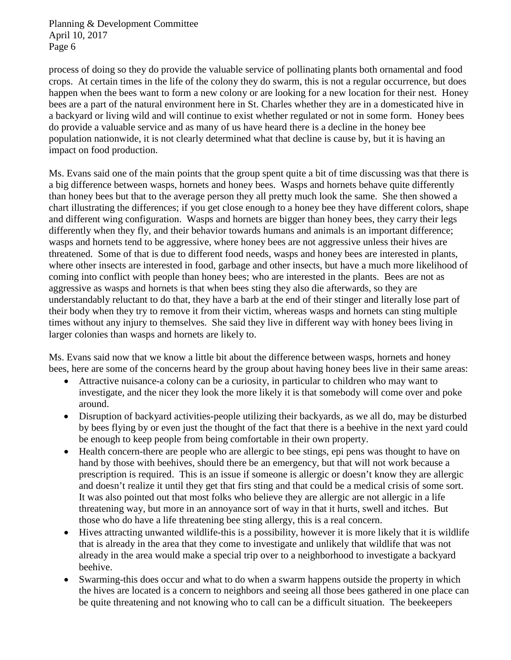process of doing so they do provide the valuable service of pollinating plants both ornamental and food crops. At certain times in the life of the colony they do swarm, this is not a regular occurrence, but does happen when the bees want to form a new colony or are looking for a new location for their nest. Honey bees are a part of the natural environment here in St. Charles whether they are in a domesticated hive in a backyard or living wild and will continue to exist whether regulated or not in some form. Honey bees do provide a valuable service and as many of us have heard there is a decline in the honey bee population nationwide, it is not clearly determined what that decline is cause by, but it is having an impact on food production.

Ms. Evans said one of the main points that the group spent quite a bit of time discussing was that there is a big difference between wasps, hornets and honey bees. Wasps and hornets behave quite differently than honey bees but that to the average person they all pretty much look the same. She then showed a chart illustrating the differences; if you get close enough to a honey bee they have different colors, shape and different wing configuration. Wasps and hornets are bigger than honey bees, they carry their legs differently when they fly, and their behavior towards humans and animals is an important difference; wasps and hornets tend to be aggressive, where honey bees are not aggressive unless their hives are threatened. Some of that is due to different food needs, wasps and honey bees are interested in plants, where other insects are interested in food, garbage and other insects, but have a much more likelihood of coming into conflict with people than honey bees; who are interested in the plants. Bees are not as aggressive as wasps and hornets is that when bees sting they also die afterwards, so they are understandably reluctant to do that, they have a barb at the end of their stinger and literally lose part of their body when they try to remove it from their victim, whereas wasps and hornets can sting multiple times without any injury to themselves. She said they live in different way with honey bees living in larger colonies than wasps and hornets are likely to.

Ms. Evans said now that we know a little bit about the difference between wasps, hornets and honey bees, here are some of the concerns heard by the group about having honey bees live in their same areas:

- Attractive nuisance-a colony can be a curiosity, in particular to children who may want to investigate, and the nicer they look the more likely it is that somebody will come over and poke around.
- Disruption of backyard activities-people utilizing their backyards, as we all do, may be disturbed by bees flying by or even just the thought of the fact that there is a beehive in the next yard could be enough to keep people from being comfortable in their own property.
- Health concern-there are people who are allergic to bee stings, epi pens was thought to have on hand by those with beehives, should there be an emergency, but that will not work because a prescription is required. This is an issue if someone is allergic or doesn't know they are allergic and doesn't realize it until they get that firs sting and that could be a medical crisis of some sort. It was also pointed out that most folks who believe they are allergic are not allergic in a life threatening way, but more in an annoyance sort of way in that it hurts, swell and itches. But those who do have a life threatening bee sting allergy, this is a real concern.
- Hives attracting unwanted wildlife-this is a possibility, however it is more likely that it is wildlife that is already in the area that they come to investigate and unlikely that wildlife that was not already in the area would make a special trip over to a neighborhood to investigate a backyard beehive.
- Swarming-this does occur and what to do when a swarm happens outside the property in which the hives are located is a concern to neighbors and seeing all those bees gathered in one place can be quite threatening and not knowing who to call can be a difficult situation. The beekeepers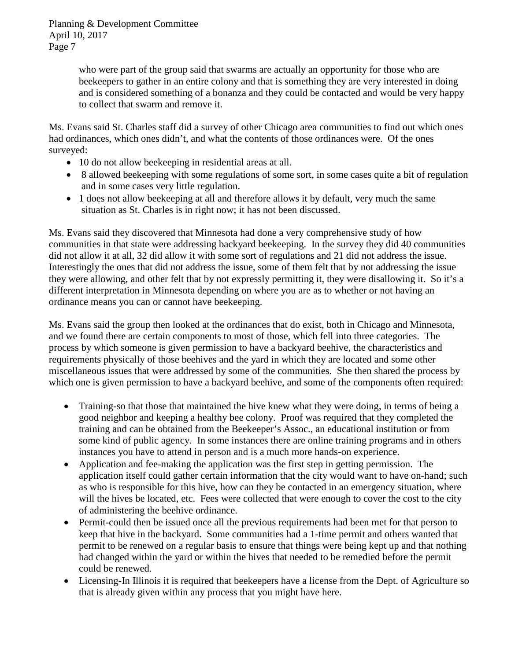> who were part of the group said that swarms are actually an opportunity for those who are beekeepers to gather in an entire colony and that is something they are very interested in doing and is considered something of a bonanza and they could be contacted and would be very happy to collect that swarm and remove it.

Ms. Evans said St. Charles staff did a survey of other Chicago area communities to find out which ones had ordinances, which ones didn't, and what the contents of those ordinances were. Of the ones surveyed:

- 10 do not allow beekeeping in residential areas at all.
- 8 allowed beekeeping with some regulations of some sort, in some cases quite a bit of regulation and in some cases very little regulation.
- 1 does not allow beekeeping at all and therefore allows it by default, very much the same situation as St. Charles is in right now; it has not been discussed.

Ms. Evans said they discovered that Minnesota had done a very comprehensive study of how communities in that state were addressing backyard beekeeping. In the survey they did 40 communities did not allow it at all, 32 did allow it with some sort of regulations and 21 did not address the issue. Interestingly the ones that did not address the issue, some of them felt that by not addressing the issue they were allowing, and other felt that by not expressly permitting it, they were disallowing it. So it's a different interpretation in Minnesota depending on where you are as to whether or not having an ordinance means you can or cannot have beekeeping.

Ms. Evans said the group then looked at the ordinances that do exist, both in Chicago and Minnesota, and we found there are certain components to most of those, which fell into three categories. The process by which someone is given permission to have a backyard beehive, the characteristics and requirements physically of those beehives and the yard in which they are located and some other miscellaneous issues that were addressed by some of the communities. She then shared the process by which one is given permission to have a backyard beehive, and some of the components often required:

- Training-so that those that maintained the hive knew what they were doing, in terms of being a good neighbor and keeping a healthy bee colony. Proof was required that they completed the training and can be obtained from the Beekeeper's Assoc., an educational institution or from some kind of public agency. In some instances there are online training programs and in others instances you have to attend in person and is a much more hands-on experience.
- Application and fee-making the application was the first step in getting permission. The application itself could gather certain information that the city would want to have on-hand; such as who is responsible for this hive, how can they be contacted in an emergency situation, where will the hives be located, etc. Fees were collected that were enough to cover the cost to the city of administering the beehive ordinance.
- Permit-could then be issued once all the previous requirements had been met for that person to keep that hive in the backyard. Some communities had a 1-time permit and others wanted that permit to be renewed on a regular basis to ensure that things were being kept up and that nothing had changed within the yard or within the hives that needed to be remedied before the permit could be renewed.
- Licensing-In Illinois it is required that beekeepers have a license from the Dept. of Agriculture so that is already given within any process that you might have here.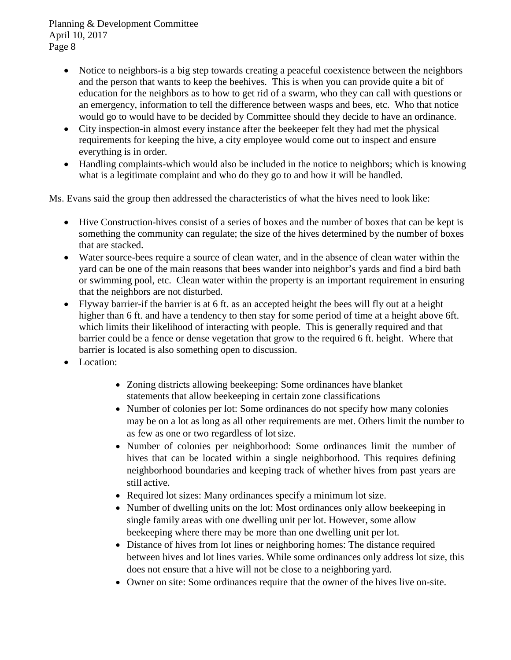- Notice to neighbors-is a big step towards creating a peaceful coexistence between the neighbors and the person that wants to keep the beehives. This is when you can provide quite a bit of education for the neighbors as to how to get rid of a swarm, who they can call with questions or an emergency, information to tell the difference between wasps and bees, etc. Who that notice would go to would have to be decided by Committee should they decide to have an ordinance.
- City inspection-in almost every instance after the beekeeper felt they had met the physical requirements for keeping the hive, a city employee would come out to inspect and ensure everything is in order.
- Handling complaints-which would also be included in the notice to neighbors; which is knowing what is a legitimate complaint and who do they go to and how it will be handled.

Ms. Evans said the group then addressed the characteristics of what the hives need to look like:

- Hive Construction-hives consist of a series of boxes and the number of boxes that can be kept is something the community can regulate; the size of the hives determined by the number of boxes that are stacked.
- Water source-bees require a source of clean water, and in the absence of clean water within the yard can be one of the main reasons that bees wander into neighbor's yards and find a bird bath or swimming pool, etc. Clean water within the property is an important requirement in ensuring that the neighbors are not disturbed.
- Flyway barrier-if the barrier is at 6 ft. as an accepted height the bees will fly out at a height higher than 6 ft. and have a tendency to then stay for some period of time at a height above 6ft. which limits their likelihood of interacting with people. This is generally required and that barrier could be a fence or dense vegetation that grow to the required 6 ft. height. Where that barrier is located is also something open to discussion.
- Location:
	- Zoning districts allowing beekeeping: Some ordinances have blanket statements that allow beekeeping in certain zone classifications
	- Number of colonies per lot: Some ordinances do not specify how many colonies may be on a lot as long as all other requirements are met. Others limit the number to as few as one or two regardless of lotsize.
	- Number of colonies per neighborhood: Some ordinances limit the number of hives that can be located within a single neighborhood. This requires defining neighborhood boundaries and keeping track of whether hives from past years are still active.
	- Required lot sizes: Many ordinances specify a minimum lot size.
	- Number of dwelling units on the lot: Most ordinances only allow beekeeping in single family areas with one dwelling unit per lot. However, some allow beekeeping where there may be more than one dwelling unit per lot.
	- Distance of hives from lot lines or neighboring homes: The distance required between hives and lot lines varies. While some ordinances only address lot size, this does not ensure that a hive will not be close to a neighboring yard.
	- Owner on site: Some ordinances require that the owner of the hives live on-site.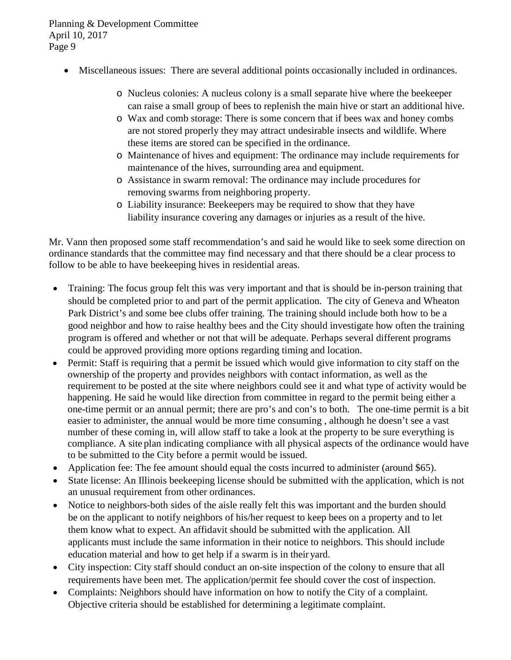- Miscellaneous issues: There are several additional points occasionally included in ordinances.
	- o Nucleus colonies: A nucleus colony is a small separate hive where the beekeeper can raise a small group of bees to replenish the main hive or start an additional hive.
	- o Wax and comb storage: There is some concern that if bees wax and honey combs are not stored properly they may attract undesirable insects and wildlife. Where these items are stored can be specified in the ordinance.
	- o Maintenance of hives and equipment: The ordinance may include requirements for maintenance of the hives, surrounding area and equipment.
	- o Assistance in swarm removal: The ordinance may include procedures for removing swarms from neighboring property.
	- o Liability insurance: Beekeepers may be required to show that they have liability insurance covering any damages or injuries as a result of the hive.

Mr. Vann then proposed some staff recommendation's and said he would like to seek some direction on ordinance standards that the committee may find necessary and that there should be a clear process to follow to be able to have beekeeping hives in residential areas.

- Training: The focus group felt this was very important and that is should be in-person training that should be completed prior to and part of the permit application. The city of Geneva and Wheaton Park District's and some bee clubs offer training. The training should include both how to be a good neighbor and how to raise healthy bees and the City should investigate how often the training program is offered and whether or not that will be adequate. Perhaps several different programs could be approved providing more options regarding timing and location.
- Permit: Staff is requiring that a permit be issued which would give information to city staff on the ownership of the property and provides neighbors with contact information, as well as the requirement to be posted at the site where neighbors could see it and what type of activity would be happening. He said he would like direction from committee in regard to the permit being either a one-time permit or an annual permit; there are pro's and con's to both. The one-time permit is a bit easier to administer, the annual would be more time consuming , although he doesn't see a vast number of these coming in, will allow staff to take a look at the property to be sure everything is compliance. A site plan indicating compliance with all physical aspects of the ordinance would have to be submitted to the City before a permit would be issued.
- Application fee: The fee amount should equal the costs incurred to administer (around \$65).
- State license: An Illinois beekeeping license should be submitted with the application, which is not an unusual requirement from other ordinances.
- Notice to neighbors-both sides of the aisle really felt this was important and the burden should be on the applicant to notify neighbors of his/her request to keep bees on a property and to let them know what to expect. An affidavit should be submitted with the application. All applicants must include the same information in their notice to neighbors. This should include education material and how to get help if a swarm is in their yard.
- City inspection: City staff should conduct an on-site inspection of the colony to ensure that all requirements have been met. The application/permit fee should cover the cost of inspection.
- Complaints: Neighbors should have information on how to notify the City of a complaint. Objective criteria should be established for determining a legitimate complaint.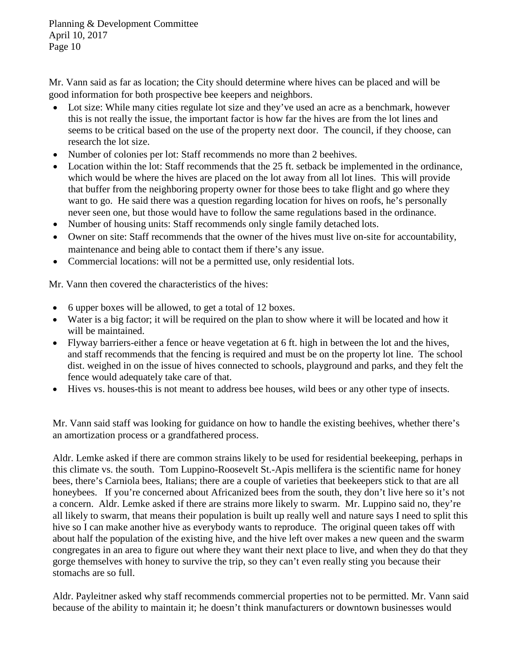Mr. Vann said as far as location; the City should determine where hives can be placed and will be good information for both prospective bee keepers and neighbors.

- Lot size: While many cities regulate lot size and they've used an acre as a benchmark, however this is not really the issue, the important factor is how far the hives are from the lot lines and seems to be critical based on the use of the property next door. The council, if they choose, can research the lot size.
- Number of colonies per lot: Staff recommends no more than 2 beehives.
- Location within the lot: Staff recommends that the 25 ft. setback be implemented in the ordinance, which would be where the hives are placed on the lot away from all lot lines. This will provide that buffer from the neighboring property owner for those bees to take flight and go where they want to go. He said there was a question regarding location for hives on roofs, he's personally never seen one, but those would have to follow the same regulations based in the ordinance.
- Number of housing units: Staff recommends only single family detached lots.
- Owner on site: Staff recommends that the owner of the hives must live on-site for accountability, maintenance and being able to contact them if there's any issue.
- Commercial locations: will not be a permitted use, only residential lots.

Mr. Vann then covered the characteristics of the hives:

- 6 upper boxes will be allowed, to get a total of 12 boxes.
- Water is a big factor; it will be required on the plan to show where it will be located and how it will be maintained.
- Flyway barriers-either a fence or heave vegetation at 6 ft. high in between the lot and the hives, and staff recommends that the fencing is required and must be on the property lot line. The school dist. weighed in on the issue of hives connected to schools, playground and parks, and they felt the fence would adequately take care of that.
- Hives vs. houses-this is not meant to address bee houses, wild bees or any other type of insects.

Mr. Vann said staff was looking for guidance on how to handle the existing beehives, whether there's an amortization process or a grandfathered process.

Aldr. Lemke asked if there are common strains likely to be used for residential beekeeping, perhaps in this climate vs. the south. Tom Luppino-Roosevelt St.-Apis mellifera is the scientific name for honey bees, there's Carniola bees, Italians; there are a couple of varieties that beekeepers stick to that are all honeybees. If you're concerned about Africanized bees from the south, they don't live here so it's not a concern. Aldr. Lemke asked if there are strains more likely to swarm. Mr. Luppino said no, they're all likely to swarm, that means their population is built up really well and nature says I need to split this hive so I can make another hive as everybody wants to reproduce. The original queen takes off with about half the population of the existing hive, and the hive left over makes a new queen and the swarm congregates in an area to figure out where they want their next place to live, and when they do that they gorge themselves with honey to survive the trip, so they can't even really sting you because their stomachs are so full.

Aldr. Payleitner asked why staff recommends commercial properties not to be permitted. Mr. Vann said because of the ability to maintain it; he doesn't think manufacturers or downtown businesses would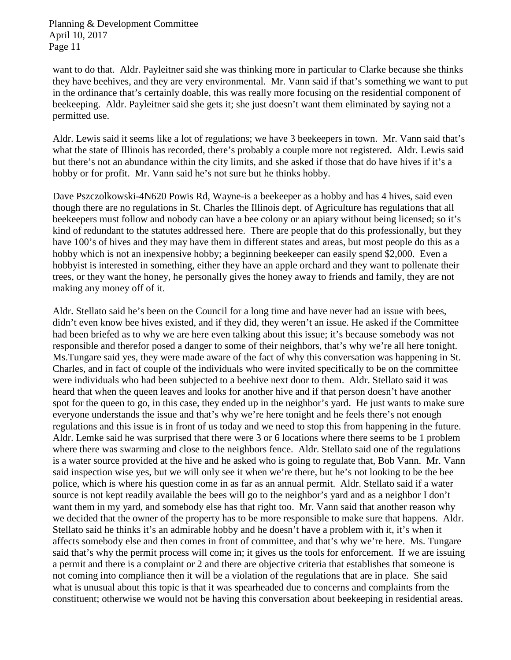want to do that. Aldr. Payleitner said she was thinking more in particular to Clarke because she thinks they have beehives, and they are very environmental. Mr. Vann said if that's something we want to put in the ordinance that's certainly doable, this was really more focusing on the residential component of beekeeping. Aldr. Payleitner said she gets it; she just doesn't want them eliminated by saying not a permitted use.

Aldr. Lewis said it seems like a lot of regulations; we have 3 beekeepers in town. Mr. Vann said that's what the state of Illinois has recorded, there's probably a couple more not registered. Aldr. Lewis said but there's not an abundance within the city limits, and she asked if those that do have hives if it's a hobby or for profit. Mr. Vann said he's not sure but he thinks hobby.

Dave Pszczolkowski-4N620 Powis Rd, Wayne-is a beekeeper as a hobby and has 4 hives, said even though there are no regulations in St. Charles the Illinois dept. of Agriculture has regulations that all beekeepers must follow and nobody can have a bee colony or an apiary without being licensed; so it's kind of redundant to the statutes addressed here. There are people that do this professionally, but they have 100's of hives and they may have them in different states and areas, but most people do this as a hobby which is not an inexpensive hobby; a beginning beekeeper can easily spend \$2,000. Even a hobbyist is interested in something, either they have an apple orchard and they want to pollenate their trees, or they want the honey, he personally gives the honey away to friends and family, they are not making any money off of it.

Aldr. Stellato said he's been on the Council for a long time and have never had an issue with bees, didn't even know bee hives existed, and if they did, they weren't an issue. He asked if the Committee had been briefed as to why we are here even talking about this issue; it's because somebody was not responsible and therefor posed a danger to some of their neighbors, that's why we're all here tonight. Ms.Tungare said yes, they were made aware of the fact of why this conversation was happening in St. Charles, and in fact of couple of the individuals who were invited specifically to be on the committee were individuals who had been subjected to a beehive next door to them. Aldr. Stellato said it was heard that when the queen leaves and looks for another hive and if that person doesn't have another spot for the queen to go, in this case, they ended up in the neighbor's yard. He just wants to make sure everyone understands the issue and that's why we're here tonight and he feels there's not enough regulations and this issue is in front of us today and we need to stop this from happening in the future. Aldr. Lemke said he was surprised that there were 3 or 6 locations where there seems to be 1 problem where there was swarming and close to the neighbors fence. Aldr. Stellato said one of the regulations is a water source provided at the hive and he asked who is going to regulate that, Bob Vann. Mr. Vann said inspection wise yes, but we will only see it when we're there, but he's not looking to be the bee police, which is where his question come in as far as an annual permit. Aldr. Stellato said if a water source is not kept readily available the bees will go to the neighbor's yard and as a neighbor I don't want them in my yard, and somebody else has that right too. Mr. Vann said that another reason why we decided that the owner of the property has to be more responsible to make sure that happens. Aldr. Stellato said he thinks it's an admirable hobby and he doesn't have a problem with it, it's when it affects somebody else and then comes in front of committee, and that's why we're here. Ms. Tungare said that's why the permit process will come in; it gives us the tools for enforcement. If we are issuing a permit and there is a complaint or 2 and there are objective criteria that establishes that someone is not coming into compliance then it will be a violation of the regulations that are in place. She said what is unusual about this topic is that it was spearheaded due to concerns and complaints from the constituent; otherwise we would not be having this conversation about beekeeping in residential areas.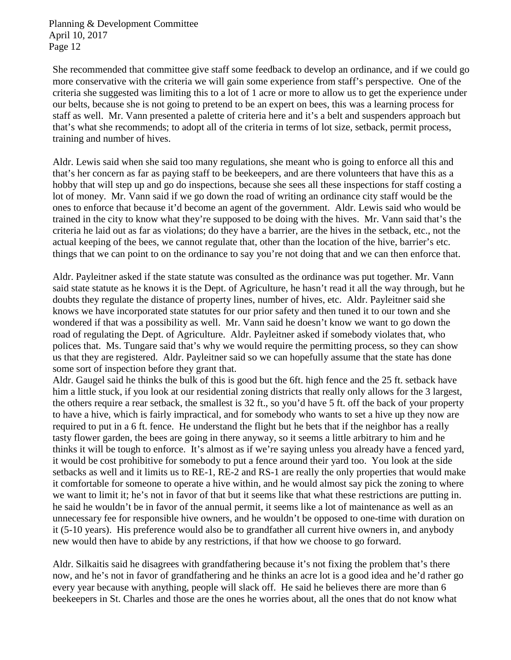She recommended that committee give staff some feedback to develop an ordinance, and if we could go more conservative with the criteria we will gain some experience from staff's perspective. One of the criteria she suggested was limiting this to a lot of 1 acre or more to allow us to get the experience under our belts, because she is not going to pretend to be an expert on bees, this was a learning process for staff as well. Mr. Vann presented a palette of criteria here and it's a belt and suspenders approach but that's what she recommends; to adopt all of the criteria in terms of lot size, setback, permit process, training and number of hives.

Aldr. Lewis said when she said too many regulations, she meant who is going to enforce all this and that's her concern as far as paying staff to be beekeepers, and are there volunteers that have this as a hobby that will step up and go do inspections, because she sees all these inspections for staff costing a lot of money. Mr. Vann said if we go down the road of writing an ordinance city staff would be the ones to enforce that because it'd become an agent of the government. Aldr. Lewis said who would be trained in the city to know what they're supposed to be doing with the hives. Mr. Vann said that's the criteria he laid out as far as violations; do they have a barrier, are the hives in the setback, etc., not the actual keeping of the bees, we cannot regulate that, other than the location of the hive, barrier's etc. things that we can point to on the ordinance to say you're not doing that and we can then enforce that.

Aldr. Payleitner asked if the state statute was consulted as the ordinance was put together. Mr. Vann said state statute as he knows it is the Dept. of Agriculture, he hasn't read it all the way through, but he doubts they regulate the distance of property lines, number of hives, etc. Aldr. Payleitner said she knows we have incorporated state statutes for our prior safety and then tuned it to our town and she wondered if that was a possibility as well. Mr. Vann said he doesn't know we want to go down the road of regulating the Dept. of Agriculture. Aldr. Payleitner asked if somebody violates that, who polices that. Ms. Tungare said that's why we would require the permitting process, so they can show us that they are registered. Aldr. Payleitner said so we can hopefully assume that the state has done some sort of inspection before they grant that.

Aldr. Gaugel said he thinks the bulk of this is good but the 6ft. high fence and the 25 ft. setback have him a little stuck, if you look at our residential zoning districts that really only allows for the 3 largest, the others require a rear setback, the smallest is 32 ft., so you'd have 5 ft. off the back of your property to have a hive, which is fairly impractical, and for somebody who wants to set a hive up they now are required to put in a 6 ft. fence. He understand the flight but he bets that if the neighbor has a really tasty flower garden, the bees are going in there anyway, so it seems a little arbitrary to him and he thinks it will be tough to enforce. It's almost as if we're saying unless you already have a fenced yard, it would be cost prohibitive for somebody to put a fence around their yard too. You look at the side setbacks as well and it limits us to RE-1, RE-2 and RS-1 are really the only properties that would make it comfortable for someone to operate a hive within, and he would almost say pick the zoning to where we want to limit it; he's not in favor of that but it seems like that what these restrictions are putting in. he said he wouldn't be in favor of the annual permit, it seems like a lot of maintenance as well as an unnecessary fee for responsible hive owners, and he wouldn't be opposed to one-time with duration on it (5-10 years). His preference would also be to grandfather all current hive owners in, and anybody new would then have to abide by any restrictions, if that how we choose to go forward.

Aldr. Silkaitis said he disagrees with grandfathering because it's not fixing the problem that's there now, and he's not in favor of grandfathering and he thinks an acre lot is a good idea and he'd rather go every year because with anything, people will slack off. He said he believes there are more than 6 beekeepers in St. Charles and those are the ones he worries about, all the ones that do not know what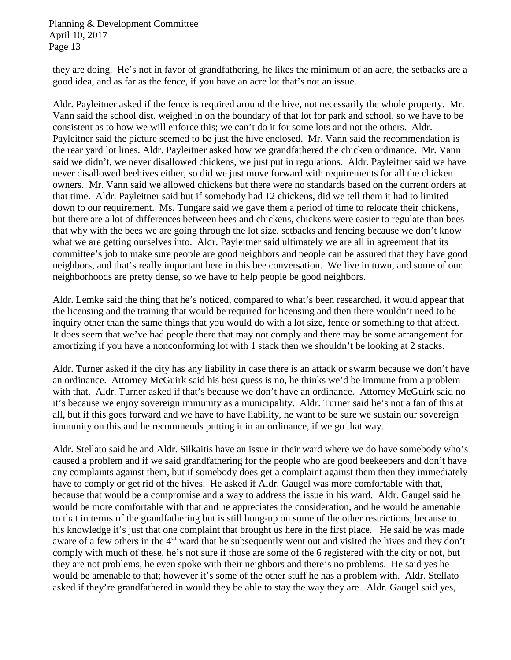they are doing. He's not in favor of grandfathering, he likes the minimum of an acre, the setbacks are a good idea, and as far as the fence, if you have an acre lot that's not an issue.

Aldr. Payleitner asked if the fence is required around the hive, not necessarily the whole property. Mr. Vann said the school dist. weighed in on the boundary of that lot for park and school, so we have to be consistent as to how we will enforce this; we can't do it for some lots and not the others. Aldr. Payleitner said the picture seemed to be just the hive enclosed. Mr. Vann said the recommendation is the rear yard lot lines. Aldr. Payleitner asked how we grandfathered the chicken ordinance. Mr. Vann said we didn't, we never disallowed chickens, we just put in regulations. Aldr. Payleitner said we have never disallowed beehives either, so did we just move forward with requirements for all the chicken owners. Mr. Vann said we allowed chickens but there were no standards based on the current orders at that time. Aldr. Payleitner said but if somebody had 12 chickens, did we tell them it had to limited down to our requirement. Ms. Tungare said we gave them a period of time to relocate their chickens, but there are a lot of differences between bees and chickens, chickens were easier to regulate than bees that why with the bees we are going through the lot size, setbacks and fencing because we don't know what we are getting ourselves into. Aldr. Payleitner said ultimately we are all in agreement that its committee's job to make sure people are good neighbors and people can be assured that they have good neighbors, and that's really important here in this bee conversation. We live in town, and some of our neighborhoods are pretty dense, so we have to help people be good neighbors.

Aldr. Lemke said the thing that he's noticed, compared to what's been researched, it would appear that the licensing and the training that would be required for licensing and then there wouldn't need to be inquiry other than the same things that you would do with a lot size, fence or something to that affect. It does seem that we've had people there that may not comply and there may be some arrangement for amortizing if you have a nonconforming lot with 1 stack then we shouldn't be looking at 2 stacks.

Aldr. Turner asked if the city has any liability in case there is an attack or swarm because we don't have an ordinance. Attorney McGuirk said his best guess is no, he thinks we'd be immune from a problem with that. Aldr. Turner asked if that's because we don't have an ordinance. Attorney McGuirk said no it's because we enjoy sovereign immunity as a municipality. Aldr. Turner said he's not a fan of this at all, but if this goes forward and we have to have liability, he want to be sure we sustain our sovereign immunity on this and he recommends putting it in an ordinance, if we go that way.

Aldr. Stellato said he and Aldr. Silkaitis have an issue in their ward where we do have somebody who's caused a problem and if we said grandfathering for the people who are good beekeepers and don't have any complaints against them, but if somebody does get a complaint against them then they immediately have to comply or get rid of the hives. He asked if Aldr. Gaugel was more comfortable with that, because that would be a compromise and a way to address the issue in his ward. Aldr. Gaugel said he would be more comfortable with that and he appreciates the consideration, and he would be amenable to that in terms of the grandfathering but is still hung-up on some of the other restrictions, because to his knowledge it's just that one complaint that brought us here in the first place. He said he was made aware of a few others in the 4<sup>th</sup> ward that he subsequently went out and visited the hives and they don't comply with much of these, he's not sure if those are some of the 6 registered with the city or not, but they are not problems, he even spoke with their neighbors and there's no problems. He said yes he would be amenable to that; however it's some of the other stuff he has a problem with. Aldr. Stellato asked if they're grandfathered in would they be able to stay the way they are. Aldr. Gaugel said yes,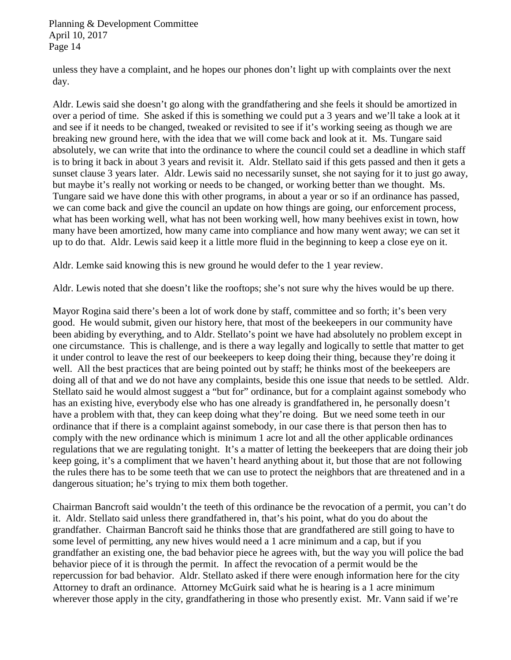unless they have a complaint, and he hopes our phones don't light up with complaints over the next day.

Aldr. Lewis said she doesn't go along with the grandfathering and she feels it should be amortized in over a period of time. She asked if this is something we could put a 3 years and we'll take a look at it and see if it needs to be changed, tweaked or revisited to see if it's working seeing as though we are breaking new ground here, with the idea that we will come back and look at it. Ms. Tungare said absolutely, we can write that into the ordinance to where the council could set a deadline in which staff is to bring it back in about 3 years and revisit it. Aldr. Stellato said if this gets passed and then it gets a sunset clause 3 years later. Aldr. Lewis said no necessarily sunset, she not saying for it to just go away, but maybe it's really not working or needs to be changed, or working better than we thought. Ms. Tungare said we have done this with other programs, in about a year or so if an ordinance has passed, we can come back and give the council an update on how things are going, our enforcement process, what has been working well, what has not been working well, how many beehives exist in town, how many have been amortized, how many came into compliance and how many went away; we can set it up to do that. Aldr. Lewis said keep it a little more fluid in the beginning to keep a close eye on it.

Aldr. Lemke said knowing this is new ground he would defer to the 1 year review.

Aldr. Lewis noted that she doesn't like the rooftops; she's not sure why the hives would be up there.

Mayor Rogina said there's been a lot of work done by staff, committee and so forth; it's been very good. He would submit, given our history here, that most of the beekeepers in our community have been abiding by everything, and to Aldr. Stellato's point we have had absolutely no problem except in one circumstance. This is challenge, and is there a way legally and logically to settle that matter to get it under control to leave the rest of our beekeepers to keep doing their thing, because they're doing it well. All the best practices that are being pointed out by staff; he thinks most of the beekeepers are doing all of that and we do not have any complaints, beside this one issue that needs to be settled. Aldr. Stellato said he would almost suggest a "but for" ordinance, but for a complaint against somebody who has an existing hive, everybody else who has one already is grandfathered in, he personally doesn't have a problem with that, they can keep doing what they're doing. But we need some teeth in our ordinance that if there is a complaint against somebody, in our case there is that person then has to comply with the new ordinance which is minimum 1 acre lot and all the other applicable ordinances regulations that we are regulating tonight. It's a matter of letting the beekeepers that are doing their job keep going, it's a compliment that we haven't heard anything about it, but those that are not following the rules there has to be some teeth that we can use to protect the neighbors that are threatened and in a dangerous situation; he's trying to mix them both together.

Chairman Bancroft said wouldn't the teeth of this ordinance be the revocation of a permit, you can't do it. Aldr. Stellato said unless there grandfathered in, that's his point, what do you do about the grandfather. Chairman Bancroft said he thinks those that are grandfathered are still going to have to some level of permitting, any new hives would need a 1 acre minimum and a cap, but if you grandfather an existing one, the bad behavior piece he agrees with, but the way you will police the bad behavior piece of it is through the permit. In affect the revocation of a permit would be the repercussion for bad behavior. Aldr. Stellato asked if there were enough information here for the city Attorney to draft an ordinance. Attorney McGuirk said what he is hearing is a 1 acre minimum wherever those apply in the city, grandfathering in those who presently exist. Mr. Vann said if we're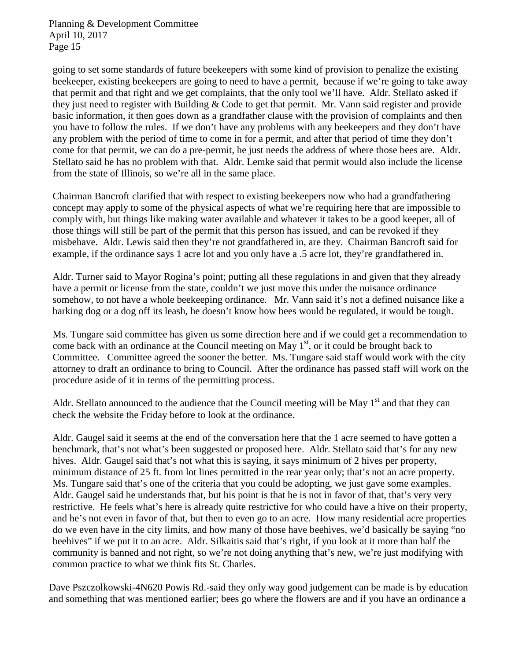going to set some standards of future beekeepers with some kind of provision to penalize the existing beekeeper, existing beekeepers are going to need to have a permit, because if we're going to take away that permit and that right and we get complaints, that the only tool we'll have. Aldr. Stellato asked if they just need to register with Building & Code to get that permit. Mr. Vann said register and provide basic information, it then goes down as a grandfather clause with the provision of complaints and then you have to follow the rules. If we don't have any problems with any beekeepers and they don't have any problem with the period of time to come in for a permit, and after that period of time they don't come for that permit, we can do a pre-permit, he just needs the address of where those bees are. Aldr. Stellato said he has no problem with that. Aldr. Lemke said that permit would also include the license from the state of Illinois, so we're all in the same place.

Chairman Bancroft clarified that with respect to existing beekeepers now who had a grandfathering concept may apply to some of the physical aspects of what we're requiring here that are impossible to comply with, but things like making water available and whatever it takes to be a good keeper, all of those things will still be part of the permit that this person has issued, and can be revoked if they misbehave. Aldr. Lewis said then they're not grandfathered in, are they. Chairman Bancroft said for example, if the ordinance says 1 acre lot and you only have a .5 acre lot, they're grandfathered in.

Aldr. Turner said to Mayor Rogina's point; putting all these regulations in and given that they already have a permit or license from the state, couldn't we just move this under the nuisance ordinance somehow, to not have a whole beekeeping ordinance. Mr. Vann said it's not a defined nuisance like a barking dog or a dog off its leash, he doesn't know how bees would be regulated, it would be tough.

Ms. Tungare said committee has given us some direction here and if we could get a recommendation to come back with an ordinance at the Council meeting on May  $1<sup>st</sup>$ , or it could be brought back to Committee. Committee agreed the sooner the better. Ms. Tungare said staff would work with the city attorney to draft an ordinance to bring to Council. After the ordinance has passed staff will work on the procedure aside of it in terms of the permitting process.

Aldr. Stellato announced to the audience that the Council meeting will be May  $1<sup>st</sup>$  and that they can check the website the Friday before to look at the ordinance.

Aldr. Gaugel said it seems at the end of the conversation here that the 1 acre seemed to have gotten a benchmark, that's not what's been suggested or proposed here. Aldr. Stellato said that's for any new hives. Aldr. Gaugel said that's not what this is saying, it says minimum of 2 hives per property, minimum distance of 25 ft. from lot lines permitted in the rear year only; that's not an acre property. Ms. Tungare said that's one of the criteria that you could be adopting, we just gave some examples. Aldr. Gaugel said he understands that, but his point is that he is not in favor of that, that's very very restrictive. He feels what's here is already quite restrictive for who could have a hive on their property, and he's not even in favor of that, but then to even go to an acre. How many residential acre properties do we even have in the city limits, and how many of those have beehives, we'd basically be saying "no beehives" if we put it to an acre. Aldr. Silkaitis said that's right, if you look at it more than half the community is banned and not right, so we're not doing anything that's new, we're just modifying with common practice to what we think fits St. Charles.

Dave Pszczolkowski-4N620 Powis Rd.-said they only way good judgement can be made is by education and something that was mentioned earlier; bees go where the flowers are and if you have an ordinance a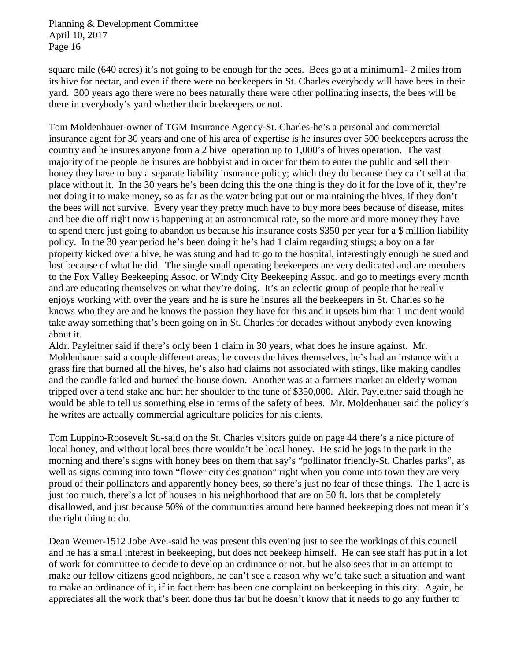square mile (640 acres) it's not going to be enough for the bees. Bees go at a minimum1- 2 miles from its hive for nectar, and even if there were no beekeepers in St. Charles everybody will have bees in their yard. 300 years ago there were no bees naturally there were other pollinating insects, the bees will be there in everybody's yard whether their beekeepers or not.

Tom Moldenhauer-owner of TGM Insurance Agency-St. Charles-he's a personal and commercial insurance agent for 30 years and one of his area of expertise is he insures over 500 beekeepers across the country and he insures anyone from a 2 hive operation up to 1,000's of hives operation. The vast majority of the people he insures are hobbyist and in order for them to enter the public and sell their honey they have to buy a separate liability insurance policy; which they do because they can't sell at that place without it. In the 30 years he's been doing this the one thing is they do it for the love of it, they're not doing it to make money, so as far as the water being put out or maintaining the hives, if they don't the bees will not survive. Every year they pretty much have to buy more bees because of disease, mites and bee die off right now is happening at an astronomical rate, so the more and more money they have to spend there just going to abandon us because his insurance costs \$350 per year for a \$ million liability policy. In the 30 year period he's been doing it he's had 1 claim regarding stings; a boy on a far property kicked over a hive, he was stung and had to go to the hospital, interestingly enough he sued and lost because of what he did. The single small operating beekeepers are very dedicated and are members to the Fox Valley Beekeeping Assoc. or Windy City Beekeeping Assoc. and go to meetings every month and are educating themselves on what they're doing. It's an eclectic group of people that he really enjoys working with over the years and he is sure he insures all the beekeepers in St. Charles so he knows who they are and he knows the passion they have for this and it upsets him that 1 incident would take away something that's been going on in St. Charles for decades without anybody even knowing about it.

Aldr. Payleitner said if there's only been 1 claim in 30 years, what does he insure against. Mr. Moldenhauer said a couple different areas; he covers the hives themselves, he's had an instance with a grass fire that burned all the hives, he's also had claims not associated with stings, like making candles and the candle failed and burned the house down. Another was at a farmers market an elderly woman tripped over a tend stake and hurt her shoulder to the tune of \$350,000. Aldr. Payleitner said though he would be able to tell us something else in terms of the safety of bees. Mr. Moldenhauer said the policy's he writes are actually commercial agriculture policies for his clients.

Tom Luppino-Roosevelt St.-said on the St. Charles visitors guide on page 44 there's a nice picture of local honey, and without local bees there wouldn't be local honey. He said he jogs in the park in the morning and there's signs with honey bees on them that say's "pollinator friendly-St. Charles parks", as well as signs coming into town "flower city designation" right when you come into town they are very proud of their pollinators and apparently honey bees, so there's just no fear of these things. The 1 acre is just too much, there's a lot of houses in his neighborhood that are on 50 ft. lots that be completely disallowed, and just because 50% of the communities around here banned beekeeping does not mean it's the right thing to do.

Dean Werner-1512 Jobe Ave.-said he was present this evening just to see the workings of this council and he has a small interest in beekeeping, but does not beekeep himself. He can see staff has put in a lot of work for committee to decide to develop an ordinance or not, but he also sees that in an attempt to make our fellow citizens good neighbors, he can't see a reason why we'd take such a situation and want to make an ordinance of it, if in fact there has been one complaint on beekeeping in this city. Again, he appreciates all the work that's been done thus far but he doesn't know that it needs to go any further to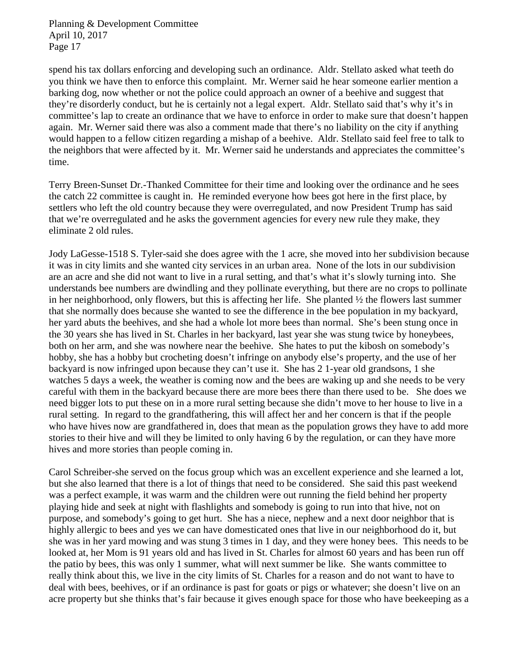spend his tax dollars enforcing and developing such an ordinance. Aldr. Stellato asked what teeth do you think we have then to enforce this complaint. Mr. Werner said he hear someone earlier mention a barking dog, now whether or not the police could approach an owner of a beehive and suggest that they're disorderly conduct, but he is certainly not a legal expert. Aldr. Stellato said that's why it's in committee's lap to create an ordinance that we have to enforce in order to make sure that doesn't happen again. Mr. Werner said there was also a comment made that there's no liability on the city if anything would happen to a fellow citizen regarding a mishap of a beehive. Aldr. Stellato said feel free to talk to the neighbors that were affected by it. Mr. Werner said he understands and appreciates the committee's time.

Terry Breen-Sunset Dr.-Thanked Committee for their time and looking over the ordinance and he sees the catch 22 committee is caught in. He reminded everyone how bees got here in the first place, by settlers who left the old country because they were overregulated, and now President Trump has said that we're overregulated and he asks the government agencies for every new rule they make, they eliminate 2 old rules.

Jody LaGesse-1518 S. Tyler-said she does agree with the 1 acre, she moved into her subdivision because it was in city limits and she wanted city services in an urban area. None of the lots in our subdivision are an acre and she did not want to live in a rural setting, and that's what it's slowly turning into. She understands bee numbers are dwindling and they pollinate everything, but there are no crops to pollinate in her neighborhood, only flowers, but this is affecting her life. She planted ½ the flowers last summer that she normally does because she wanted to see the difference in the bee population in my backyard, her yard abuts the beehives, and she had a whole lot more bees than normal. She's been stung once in the 30 years she has lived in St. Charles in her backyard, last year she was stung twice by honeybees, both on her arm, and she was nowhere near the beehive. She hates to put the kibosh on somebody's hobby, she has a hobby but crocheting doesn't infringe on anybody else's property, and the use of her backyard is now infringed upon because they can't use it. She has 2 1-year old grandsons, 1 she watches 5 days a week, the weather is coming now and the bees are waking up and she needs to be very careful with them in the backyard because there are more bees there than there used to be. She does we need bigger lots to put these on in a more rural setting because she didn't move to her house to live in a rural setting. In regard to the grandfathering, this will affect her and her concern is that if the people who have hives now are grandfathered in, does that mean as the population grows they have to add more stories to their hive and will they be limited to only having 6 by the regulation, or can they have more hives and more stories than people coming in.

Carol Schreiber-she served on the focus group which was an excellent experience and she learned a lot, but she also learned that there is a lot of things that need to be considered. She said this past weekend was a perfect example, it was warm and the children were out running the field behind her property playing hide and seek at night with flashlights and somebody is going to run into that hive, not on purpose, and somebody's going to get hurt. She has a niece, nephew and a next door neighbor that is highly allergic to bees and yes we can have domesticated ones that live in our neighborhood do it, but she was in her yard mowing and was stung 3 times in 1 day, and they were honey bees. This needs to be looked at, her Mom is 91 years old and has lived in St. Charles for almost 60 years and has been run off the patio by bees, this was only 1 summer, what will next summer be like. She wants committee to really think about this, we live in the city limits of St. Charles for a reason and do not want to have to deal with bees, beehives, or if an ordinance is past for goats or pigs or whatever; she doesn't live on an acre property but she thinks that's fair because it gives enough space for those who have beekeeping as a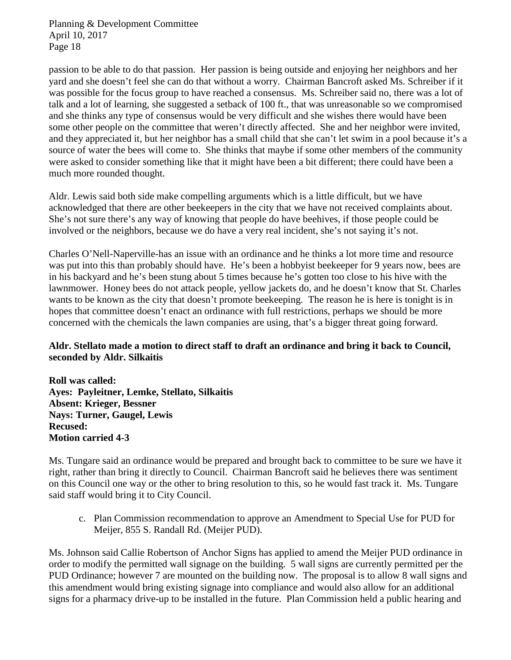passion to be able to do that passion. Her passion is being outside and enjoying her neighbors and her yard and she doesn't feel she can do that without a worry. Chairman Bancroft asked Ms. Schreiber if it was possible for the focus group to have reached a consensus. Ms. Schreiber said no, there was a lot of talk and a lot of learning, she suggested a setback of 100 ft., that was unreasonable so we compromised and she thinks any type of consensus would be very difficult and she wishes there would have been some other people on the committee that weren't directly affected. She and her neighbor were invited, and they appreciated it, but her neighbor has a small child that she can't let swim in a pool because it's a source of water the bees will come to. She thinks that maybe if some other members of the community were asked to consider something like that it might have been a bit different; there could have been a much more rounded thought.

Aldr. Lewis said both side make compelling arguments which is a little difficult, but we have acknowledged that there are other beekeepers in the city that we have not received complaints about. She's not sure there's any way of knowing that people do have beehives, if those people could be involved or the neighbors, because we do have a very real incident, she's not saying it's not.

Charles O'Nell-Naperville-has an issue with an ordinance and he thinks a lot more time and resource was put into this than probably should have. He's been a hobbyist beekeeper for 9 years now, bees are in his backyard and he's been stung about 5 times because he's gotten too close to his hive with the lawnmower. Honey bees do not attack people, yellow jackets do, and he doesn't know that St. Charles wants to be known as the city that doesn't promote beekeeping. The reason he is here is tonight is in hopes that committee doesn't enact an ordinance with full restrictions, perhaps we should be more concerned with the chemicals the lawn companies are using, that's a bigger threat going forward.

## **Aldr. Stellato made a motion to direct staff to draft an ordinance and bring it back to Council, seconded by Aldr. Silkaitis**

**Roll was called: Ayes: Payleitner, Lemke, Stellato, Silkaitis Absent: Krieger, Bessner Nays: Turner, Gaugel, Lewis Recused: Motion carried 4-3**

Ms. Tungare said an ordinance would be prepared and brought back to committee to be sure we have it right, rather than bring it directly to Council. Chairman Bancroft said he believes there was sentiment on this Council one way or the other to bring resolution to this, so he would fast track it. Ms. Tungare said staff would bring it to City Council.

c. Plan Commission recommendation to approve an Amendment to Special Use for PUD for Meijer, 855 S. Randall Rd. (Meijer PUD).

Ms. Johnson said Callie Robertson of Anchor Signs has applied to amend the Meijer PUD ordinance in order to modify the permitted wall signage on the building. 5 wall signs are currently permitted per the PUD Ordinance; however 7 are mounted on the building now. The proposal is to allow 8 wall signs and this amendment would bring existing signage into compliance and would also allow for an additional signs for a pharmacy drive-up to be installed in the future. Plan Commission held a public hearing and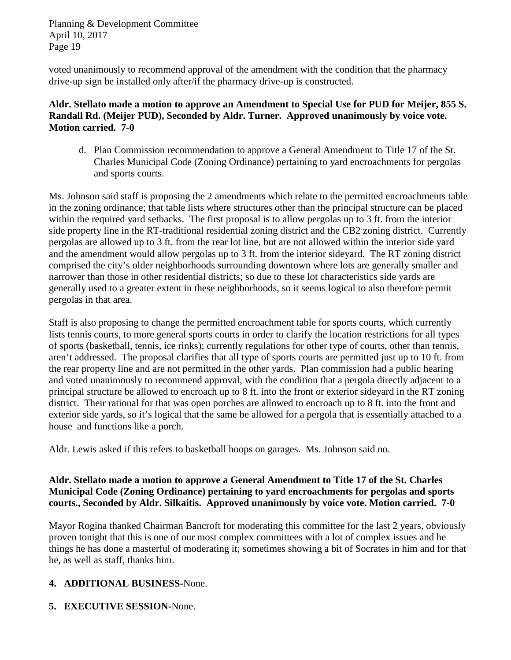voted unanimously to recommend approval of the amendment with the condition that the pharmacy drive-up sign be installed only after/if the pharmacy drive-up is constructed.

## **Aldr. Stellato made a motion to approve an Amendment to Special Use for PUD for Meijer, 855 S. Randall Rd. (Meijer PUD), Seconded by Aldr. Turner. Approved unanimously by voice vote. Motion carried. 7-0**

d. Plan Commission recommendation to approve a General Amendment to Title 17 of the St. Charles Municipal Code (Zoning Ordinance) pertaining to yard encroachments for pergolas and sports courts.

Ms. Johnson said staff is proposing the 2 amendments which relate to the permitted encroachments table in the zoning ordinance; that table lists where structures other than the principal structure can be placed within the required yard setbacks. The first proposal is to allow pergolas up to 3 ft. from the interior side property line in the RT-traditional residential zoning district and the CB2 zoning district. Currently pergolas are allowed up to 3 ft. from the rear lot line, but are not allowed within the interior side yard and the amendment would allow pergolas up to 3 ft. from the interior sideyard. The RT zoning district comprised the city's older neighborhoods surrounding downtown where lots are generally smaller and narrower than those in other residential districts; so due to these lot characteristics side yards are generally used to a greater extent in these neighborhoods, so it seems logical to also therefore permit pergolas in that area.

Staff is also proposing to change the permitted encroachment table for sports courts, which currently lists tennis courts, to more general sports courts in order to clarify the location restrictions for all types of sports (basketball, tennis, ice rinks); currently regulations for other type of courts, other than tennis, aren't addressed. The proposal clarifies that all type of sports courts are permitted just up to 10 ft. from the rear property line and are not permitted in the other yards. Plan commission had a public hearing and voted unanimously to recommend approval, with the condition that a pergola directly adjacent to a principal structure be allowed to encroach up to 8 ft. into the front or exterior sideyard in the RT zoning district. Their rational for that was open porches are allowed to encroach up to 8 ft. into the front and exterior side yards, so it's logical that the same be allowed for a pergola that is essentially attached to a house and functions like a porch.

Aldr. Lewis asked if this refers to basketball hoops on garages. Ms. Johnson said no.

#### **Aldr. Stellato made a motion to approve a General Amendment to Title 17 of the St. Charles Municipal Code (Zoning Ordinance) pertaining to yard encroachments for pergolas and sports courts., Seconded by Aldr. Silkaitis. Approved unanimously by voice vote. Motion carried. 7-0**

Mayor Rogina thanked Chairman Bancroft for moderating this committee for the last 2 years, obviously proven tonight that this is one of our most complex committees with a lot of complex issues and he things he has done a masterful of moderating it; sometimes showing a bit of Socrates in him and for that he, as well as staff, thanks him.

# **4. ADDITIONAL BUSINESS-**None.

**5. EXECUTIVE SESSION-**None.